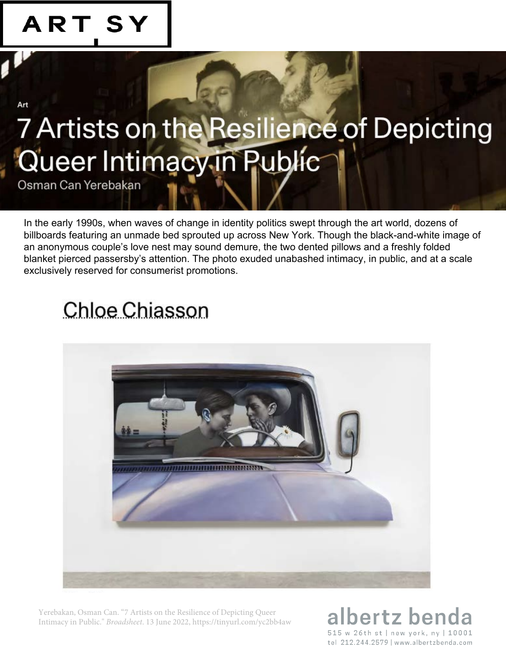

# 7 Artists on the Resilience of Depicting<br>Queer Intimacy in Public

Osman Can Yerebakan

In the early 1990s, when waves of change in identity politics swept through the art world, dozens of billboards featuring an unmade bed sprouted up across New York. Though the black-and-white image of an anonymous couple's love nest may sound demure, the two dented pillows and a freshly folded blanket pierced passersby's attention. The photo exuded unabashed intimacy, in public, and at a scale exclusively reserved for consumerist promotions.

# **Chloe Chiasson**



Yerebakan, Osman Can. "7 Artists on the Resilience of Depicting Queer Intimacy in Public." *Broadsheet*. 13 June 2022, https://tinyurl.com/yc2bb4aw

# albertz ben 515 w 26th st | new york, ny | 10001 tel 212.244.2579 | www.albertzbenda.com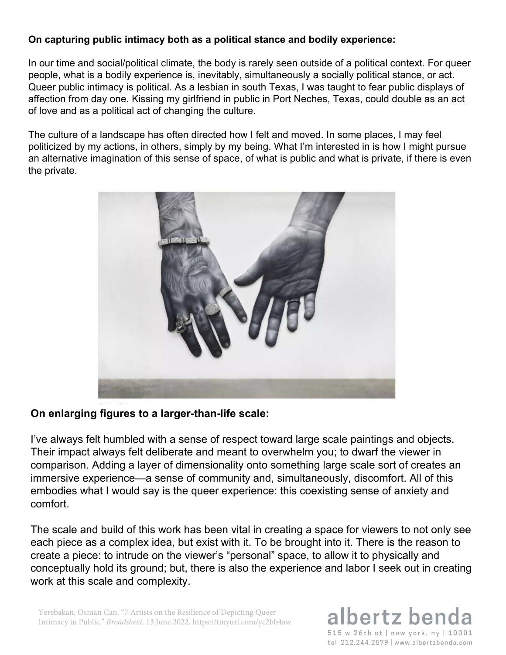#### **On capturing public intimacy both as a political stance and bodily experience:**

In our time and social/political climate, the body is rarely seen outside of a political context. For queer people, what is a bodily experience is, inevitably, simultaneously a socially political stance, or act. Queer public intimacy is political. As a lesbian in south Texas, I was taught to fear public displays of affection from day one. Kissing my girlfriend in public in Port Neches, Texas, could double as an act of love and as a political act of changing the culture.

The culture of a landscape has often directed how I felt and moved. In some places, I may feel politicized by my actions, in others, simply by my being. What I'm interested in is how I might pursue an alternative imagination of this sense of space, of what is public and what is private, if there is even the private.



#### **On enlarging figures to a larger-than-life scale:**

I've always felt humbled with a sense of respect toward large scale paintings and objects. Their impact always felt deliberate and meant to overwhelm you; to dwarf the viewer in comparison. Adding a layer of dimensionality onto something large scale sort of creates an immersive experience—a sense of community and, simultaneously, discomfort. All of this embodies what I would say is the queer experience: this coexisting sense of anxiety and comfort.

The scale and build of this work has been vital in creating a space for viewers to not only see each piece as a complex idea, but exist with it. To be brought into it. There is the reason to create a piece: to intrude on the viewer's "personal" space, to allow it to physically and conceptually hold its ground; but, there is also the experience and labor I seek out in creating work at this scale and complexity.

Yerebakan, Osman Can. "7 Artists on the Resilience of Depicting Queer Intimacy in Public." *Broadsheet*. 13 June 2022, https://tinyurl.com/yc2bb4aw

# albertz ben 515 w 26th st | new york, ny | 10001 tel 212.244.2579 | www.albertzbenda.com